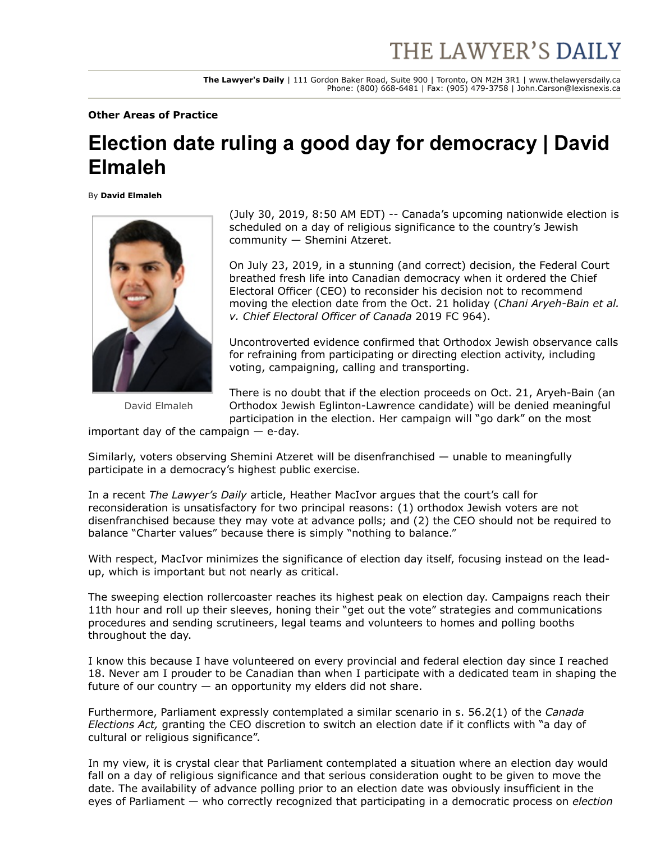**The Lawyer's Daily** | 111 Gordon Baker Road, Suite 900 | Toronto, ON M2H 3R1 | www.thelawyersdaily.ca Phone: (800) 668-6481 | Fax: (905) 479-3758 | John.Carson@lexisnexis.ca

**Other Areas of Practice**

## **Election date ruling a good day for democracy | David Elmaleh**

By **David Elmaleh**



David Elmaleh

(July 30, 2019, 8:50 AM EDT) -- Canada's upcoming nationwide election is scheduled on a day of religious significance to the country's Jewish community — Shemini Atzeret.

On July 23, 2019, in a stunning (and correct) decision, the Federal Court breathed fresh life into Canadian democracy when it ordered the Chief Electoral Officer (CEO) to reconsider his decision not to recommend moving the election date from the Oct. 21 holiday (*Chani Aryeh-Bain et al. v. Chief Electoral Officer of Canada* 2019 FC 964).

Uncontroverted evidence confirmed that Orthodox Jewish observance calls for refraining from participating or directing election activity, including voting, campaigning, calling and transporting.

There is no doubt that if the election proceeds on Oct. 21, Aryeh-Bain (an Orthodox Jewish Eglinton-Lawrence candidate) will be denied meaningful participation in the election. Her campaign will "go dark" on the most

important day of the campaign — e-day.

Similarly, voters observing Shemini Atzeret will be disenfranchised — unable to meaningfully participate in a democracy's highest public exercise.

In a recent *The Lawyer's Daily* [article,](https://www.thelawyersdaily.ca/articles/14025/chief-electoral-officer-told-to-reconsider-federal-election-date-heather-macivor?category=opinion) Heather MacIvor argues that the court's call for reconsideration is unsatisfactory for two principal reasons: (1) orthodox Jewish voters are not disenfranchised because they may vote at advance polls; and (2) the CEO should not be required to balance "Charter values" because there is simply "nothing to balance."

With respect, MacIvor minimizes the significance of election day itself, focusing instead on the leadup, which is important but not nearly as critical.

The sweeping election rollercoaster reaches its highest peak on election day. Campaigns reach their 11th hour and roll up their sleeves, honing their "get out the vote" strategies and communications procedures and sending scrutineers, legal teams and volunteers to homes and polling booths throughout the day.

I know this because I have volunteered on every provincial and federal election day since I reached 18. Never am I prouder to be Canadian than when I participate with a dedicated team in shaping the future of our country  $-$  an opportunity my elders did not share.

Furthermore, Parliament expressly contemplated a similar scenario in s. 56.2(1) of the *Canada Elections Act,* granting the CEO discretion to switch an election date if it conflicts with "a day of cultural or religious significance".

In my view, it is crystal clear that Parliament contemplated a situation where an election day would fall on a day of religious significance and that serious consideration ought to be given to move the date. The availability of advance polling prior to an election date was obviously insufficient in the eyes of Parliament — who correctly recognized that participating in a democratic process on *election*